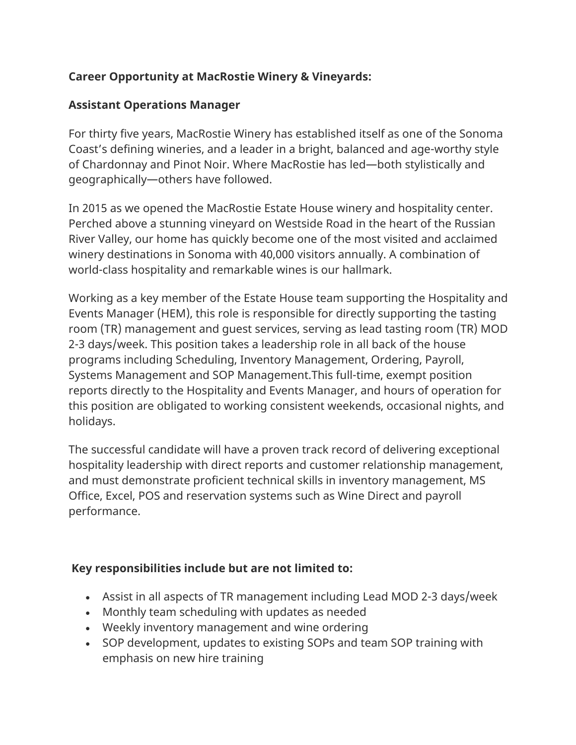## **Career Opportunity at MacRostie Winery & Vineyards:**

## **Assistant Operations Manager**

For thirty five years, MacRostie Winery has established itself as one of the Sonoma Coast's defining wineries, and a leader in a bright, balanced and age-worthy style of Chardonnay and Pinot Noir. Where MacRostie has led—both stylistically and geographically—others have followed.

In 2015 as we opened the MacRostie Estate House winery and hospitality center. Perched above a stunning vineyard on Westside Road in the heart of the Russian River Valley, our home has quickly become one of the most visited and acclaimed winery destinations in Sonoma with 40,000 visitors annually. A combination of world-class hospitality and remarkable wines is our hallmark.

Working as a key member of the Estate House team supporting the Hospitality and Events Manager (HEM), this role is responsible for directly supporting the tasting room (TR) management and guest services, serving as lead tasting room (TR) MOD 2-3 days/week. This position takes a leadership role in all back of the house programs including Scheduling, Inventory Management, Ordering, Payroll, Systems Management and SOP Management.This full-time, exempt position reports directly to the Hospitality and Events Manager, and hours of operation for this position are obligated to working consistent weekends, occasional nights, and holidays.

The successful candidate will have a proven track record of delivering exceptional hospitality leadership with direct reports and customer relationship management, and must demonstrate proficient technical skills in inventory management, MS Office, Excel, POS and reservation systems such as Wine Direct and payroll performance.

## **Key responsibilities include but are not limited to:**

- Assist in all aspects of TR management including Lead MOD 2-3 days/week
- Monthly team scheduling with updates as needed
- Weekly inventory management and wine ordering
- SOP development, updates to existing SOPs and team SOP training with emphasis on new hire training